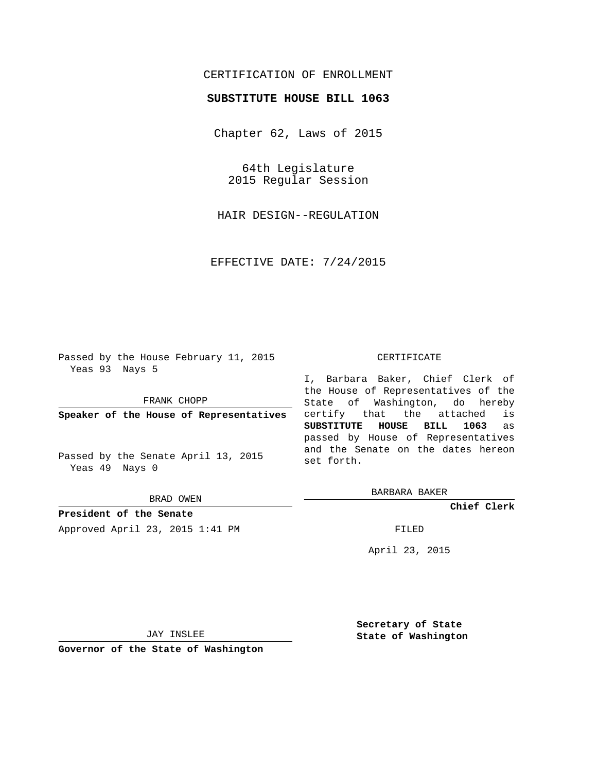## CERTIFICATION OF ENROLLMENT

## **SUBSTITUTE HOUSE BILL 1063**

Chapter 62, Laws of 2015

64th Legislature 2015 Regular Session

HAIR DESIGN--REGULATION

EFFECTIVE DATE: 7/24/2015

Passed by the House February 11, 2015 Yeas 93 Nays 5

FRANK CHOPP

**Speaker of the House of Representatives**

Passed by the Senate April 13, 2015 Yeas 49 Nays 0

BRAD OWEN

**President of the Senate** Approved April 23, 2015 1:41 PM FILED

## CERTIFICATE

I, Barbara Baker, Chief Clerk of the House of Representatives of the State of Washington, do hereby certify that the attached is **SUBSTITUTE HOUSE BILL 1063** as passed by House of Representatives and the Senate on the dates hereon set forth.

BARBARA BAKER

**Chief Clerk**

April 23, 2015

JAY INSLEE

**Governor of the State of Washington**

**Secretary of State State of Washington**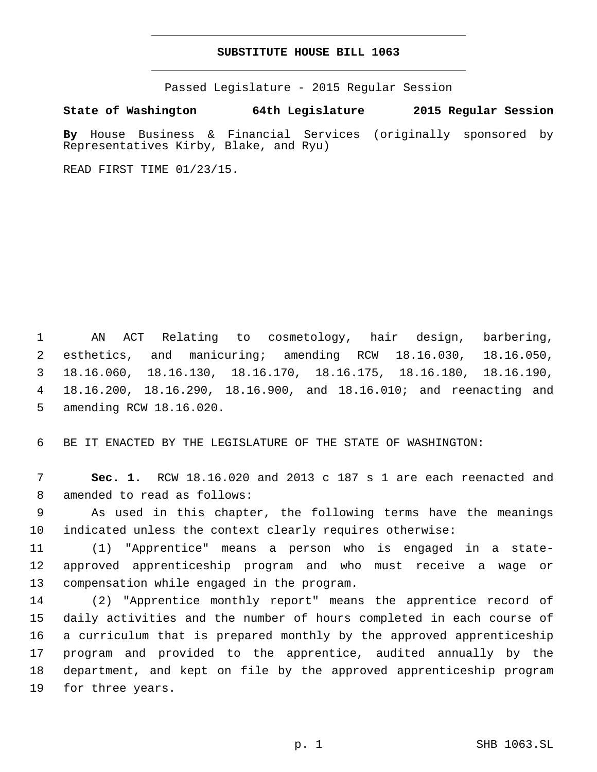## **SUBSTITUTE HOUSE BILL 1063**

Passed Legislature - 2015 Regular Session

**State of Washington 64th Legislature 2015 Regular Session**

**By** House Business & Financial Services (originally sponsored by Representatives Kirby, Blake, and Ryu)

READ FIRST TIME 01/23/15.

 AN ACT Relating to cosmetology, hair design, barbering, esthetics, and manicuring; amending RCW 18.16.030, 18.16.050, 18.16.060, 18.16.130, 18.16.170, 18.16.175, 18.16.180, 18.16.190, 18.16.200, 18.16.290, 18.16.900, and 18.16.010; and reenacting and 5 amending RCW 18.16.020.

6 BE IT ENACTED BY THE LEGISLATURE OF THE STATE OF WASHINGTON:

7 **Sec. 1.** RCW 18.16.020 and 2013 c 187 s 1 are each reenacted and 8 amended to read as follows:

9 As used in this chapter, the following terms have the meanings 10 indicated unless the context clearly requires otherwise:

11 (1) "Apprentice" means a person who is engaged in a state-12 approved apprenticeship program and who must receive a wage or 13 compensation while engaged in the program.

 (2) "Apprentice monthly report" means the apprentice record of daily activities and the number of hours completed in each course of a curriculum that is prepared monthly by the approved apprenticeship program and provided to the apprentice, audited annually by the department, and kept on file by the approved apprenticeship program 19 for three years.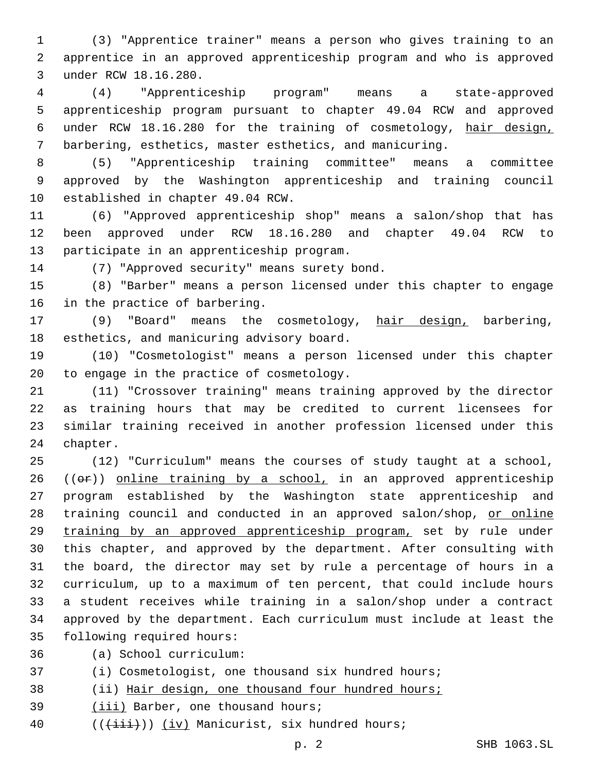(3) "Apprentice trainer" means a person who gives training to an apprentice in an approved apprenticeship program and who is approved under RCW 18.16.280.3

 (4) "Apprenticeship program" means a state-approved apprenticeship program pursuant to chapter 49.04 RCW and approved under RCW 18.16.280 for the training of cosmetology, hair design, barbering, esthetics, master esthetics, and manicuring.

 (5) "Apprenticeship training committee" means a committee approved by the Washington apprenticeship and training council 10 established in chapter 49.04 RCW.

 (6) "Approved apprenticeship shop" means a salon/shop that has been approved under RCW 18.16.280 and chapter 49.04 RCW to 13 participate in an apprenticeship program.

14 (7) "Approved security" means surety bond.

 (8) "Barber" means a person licensed under this chapter to engage 16 in the practice of barbering.

 (9) "Board" means the cosmetology, hair design, barbering, 18 esthetics, and manicuring advisory board.

 (10) "Cosmetologist" means a person licensed under this chapter 20 to engage in the practice of cosmetology.

 (11) "Crossover training" means training approved by the director as training hours that may be credited to current licensees for similar training received in another profession licensed under this 24 chapter.

 (12) "Curriculum" means the courses of study taught at a school, (( $\Theta$ )) online training by a school, in an approved apprenticeship program established by the Washington state apprenticeship and 28 training council and conducted in an approved salon/shop, or online training by an approved apprenticeship program, set by rule under this chapter, and approved by the department. After consulting with the board, the director may set by rule a percentage of hours in a curriculum, up to a maximum of ten percent, that could include hours a student receives while training in a salon/shop under a contract approved by the department. Each curriculum must include at least the 35 following required hours:

- (a) School curriculum:36
- (i) Cosmetologist, one thousand six hundred hours;
- (ii) Hair design, one thousand four hundred hours;
- 39 (iii) Barber, one thousand hours;
- 40  $((\{\text{iii}\})\)$  (iv) Manicurist, six hundred hours;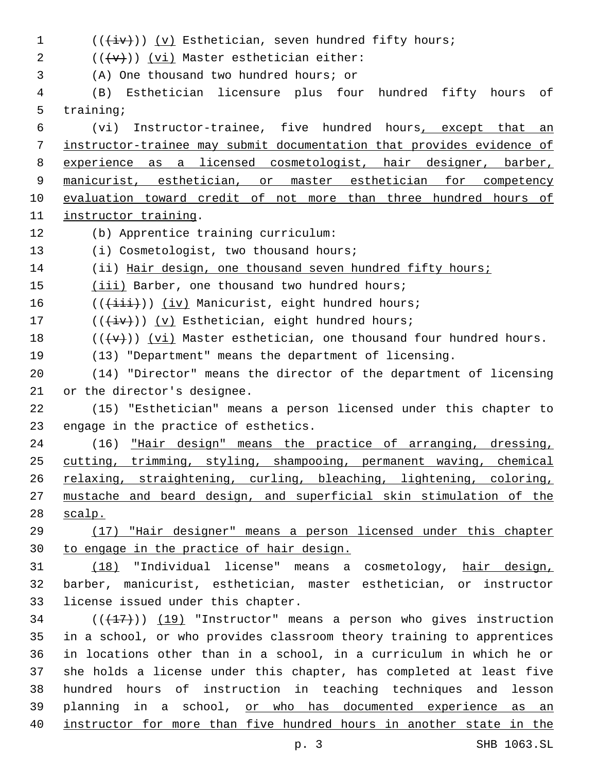| $\mathbf 1$  | $((+iv))$ (v) Esthetician, seven hundred fifty hours;                            |
|--------------|----------------------------------------------------------------------------------|
| 2            | $((\{v\})$ (vi) Master esthetician either:                                       |
| $\mathbf{3}$ | (A) One thousand two hundred hours; or                                           |
| 4            | Esthetician licensure plus four hundred fifty hours<br>оf<br>(B)                 |
| 5            | training;                                                                        |
| 6            | Instructor-trainee, five hundred hours, except that an<br>(vi)                   |
| 7            | instructor-trainee may submit documentation that provides evidence of            |
| 8            | experience as a licensed cosmetologist, hair designer, barber,                   |
| 9            | manicurist, esthetician, or master esthetician for competency                    |
| 10           | evaluation toward credit of not more than three hundred hours of                 |
| 11           | instructor training.                                                             |
| 12           | (b) Apprentice training curriculum:                                              |
| 13           | (i) Cosmetologist, two thousand hours;                                           |
| 14           | (ii) Hair design, one thousand seven hundred fifty hours;                        |
| 15           | (iii) Barber, one thousand two hundred hours;                                    |
| 16           | $((+iii))$ (iv) Manicurist, eight hundred hours;                                 |
| 17           | $((+iv))$ (v) Esthetician, eight hundred hours;                                  |
| 18           | $((\langle v\rangle))$ (vi) Master esthetician, one thousand four hundred hours. |
| 19           | (13) "Department" means the department of licensing.                             |
| 20           | (14) "Director" means the director of the department of licensing                |
| 21           | or the director's designee.                                                      |
| 22           | (15) "Esthetician" means a person licensed under this chapter to                 |
| 23           | engage in the practice of esthetics.                                             |
| 24           | (16) "Hair design" means the practice of arranging, dressing,                    |
| 25           | cutting, trimming, styling, shampooing, permanent waving, chemical               |
| 26           | relaxing, straightening, curling, bleaching, lightening, coloring,               |
| 27           | mustache and beard design, and superficial skin stimulation of the               |
| 28           | scalp.                                                                           |
| 29           | (17) "Hair designer" means a person licensed under this chapter                  |
| 30           | to engage in the practice of hair design.                                        |
| 31           | (18) "Individual license" means a cosmetology, hair design,                      |
| 32           | barber, manicurist, esthetician, master esthetician, or instructor               |
| 33           | license issued under this chapter.                                               |
| 34           | $((+17))$ (19) "Instructor" means a person who gives instruction                 |
| 35           | in a school, or who provides classroom theory training to apprentices            |
| 36           | in locations other than in a school, in a curriculum in which he or              |
| 37           | she holds a license under this chapter, has completed at least five              |
| 38           | hundred hours of instruction in teaching techniques and lesson                   |
| 39           | planning in a school, or who has documented experience as an                     |
| 40           | instructor for more than five hundred hours in another state in the              |
|              | SHB 1063.SL<br>p. 3                                                              |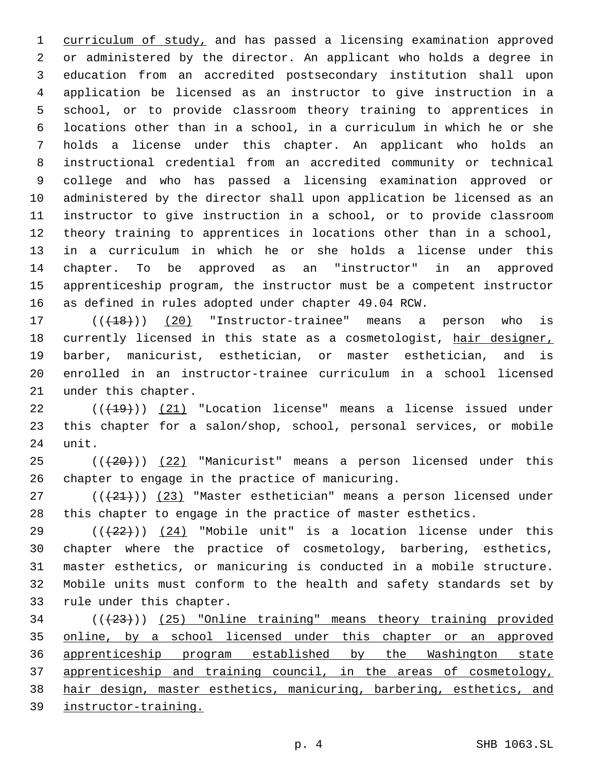curriculum of study, and has passed a licensing examination approved or administered by the director. An applicant who holds a degree in education from an accredited postsecondary institution shall upon application be licensed as an instructor to give instruction in a school, or to provide classroom theory training to apprentices in locations other than in a school, in a curriculum in which he or she holds a license under this chapter. An applicant who holds an instructional credential from an accredited community or technical college and who has passed a licensing examination approved or administered by the director shall upon application be licensed as an instructor to give instruction in a school, or to provide classroom theory training to apprentices in locations other than in a school, in a curriculum in which he or she holds a license under this chapter. To be approved as an "instructor" in an approved apprenticeship program, the instructor must be a competent instructor as defined in rules adopted under chapter 49.04 RCW.

17 (( $(18)$ )) (20) "Instructor-trainee" means a person who is 18 currently licensed in this state as a cosmetologist, hair designer, barber, manicurist, esthetician, or master esthetician, and is enrolled in an instructor-trainee curriculum in a school licensed 21 under this chapter.

 $((+19))$  (21) "Location license" means a license issued under this chapter for a salon/shop, school, personal services, or mobile 24 unit.

25 (( $(20)$ )) (22) "Manicurist" means a person licensed under this 26 chapter to engage in the practice of manicuring.

 ( $(\frac{21}{2})$ ) (23) "Master esthetician" means a person licensed under this chapter to engage in the practice of master esthetics.

 $(1 + 22)$  ( $(24)$  "Mobile unit" is a location license under this chapter where the practice of cosmetology, barbering, esthetics, master esthetics, or manicuring is conducted in a mobile structure. Mobile units must conform to the health and safety standards set by 33 rule under this chapter.

 (((23))) (25) "Online training" means theory training provided online, by a school licensed under this chapter or an approved apprenticeship program established by the Washington state apprenticeship and training council, in the areas of cosmetology, hair design, master esthetics, manicuring, barbering, esthetics, and instructor-training.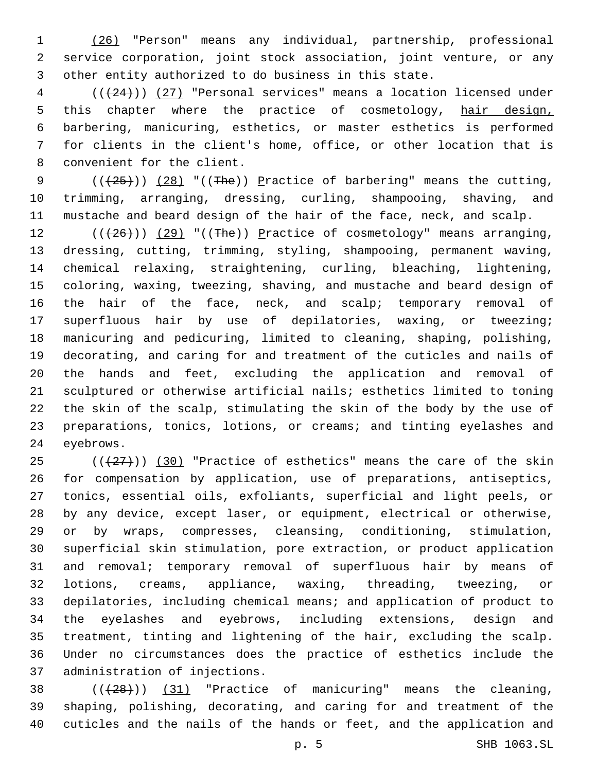(26) "Person" means any individual, partnership, professional service corporation, joint stock association, joint venture, or any other entity authorized to do business in this state.

 (((24))) (27) "Personal services" means a location licensed under 5 this chapter where the practice of cosmetology, hair design, barbering, manicuring, esthetics, or master esthetics is performed for clients in the client's home, office, or other location that is 8 convenient for the client.

9  $((+25+))$   $(28)$  "((The)) Practice of barbering" means the cutting, trimming, arranging, dressing, curling, shampooing, shaving, and mustache and beard design of the hair of the face, neck, and scalp.

 $((+26))$   $(29)$  "((The)) Practice of cosmetology" means arranging, dressing, cutting, trimming, styling, shampooing, permanent waving, chemical relaxing, straightening, curling, bleaching, lightening, coloring, waxing, tweezing, shaving, and mustache and beard design of 16 the hair of the face, neck, and scalp; temporary removal of superfluous hair by use of depilatories, waxing, or tweezing; manicuring and pedicuring, limited to cleaning, shaping, polishing, decorating, and caring for and treatment of the cuticles and nails of the hands and feet, excluding the application and removal of sculptured or otherwise artificial nails; esthetics limited to toning the skin of the scalp, stimulating the skin of the body by the use of preparations, tonics, lotions, or creams; and tinting eyelashes and 24 eyebrows.

 $((+27))$   $(30)$  "Practice of esthetics" means the care of the skin for compensation by application, use of preparations, antiseptics, tonics, essential oils, exfoliants, superficial and light peels, or by any device, except laser, or equipment, electrical or otherwise, or by wraps, compresses, cleansing, conditioning, stimulation, superficial skin stimulation, pore extraction, or product application and removal; temporary removal of superfluous hair by means of lotions, creams, appliance, waxing, threading, tweezing, or depilatories, including chemical means; and application of product to the eyelashes and eyebrows, including extensions, design and treatment, tinting and lightening of the hair, excluding the scalp. Under no circumstances does the practice of esthetics include the 37 administration of injections.

  $((+28))$   $(31)$  "Practice of manicuring" means the cleaning, shaping, polishing, decorating, and caring for and treatment of the cuticles and the nails of the hands or feet, and the application and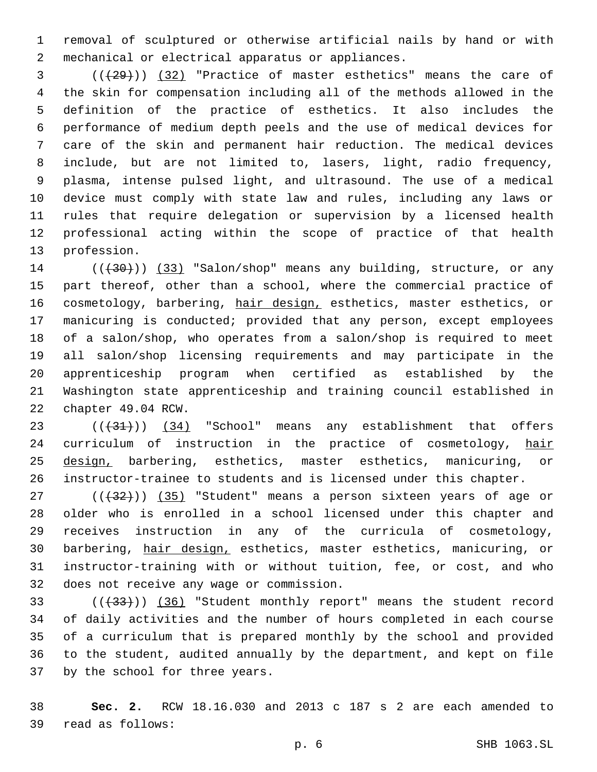removal of sculptured or otherwise artificial nails by hand or with 2 mechanical or electrical apparatus or appliances.

 (((29))) (32) "Practice of master esthetics" means the care of the skin for compensation including all of the methods allowed in the definition of the practice of esthetics. It also includes the performance of medium depth peels and the use of medical devices for care of the skin and permanent hair reduction. The medical devices include, but are not limited to, lasers, light, radio frequency, plasma, intense pulsed light, and ultrasound. The use of a medical device must comply with state law and rules, including any laws or rules that require delegation or supervision by a licensed health professional acting within the scope of practice of that health 13 profession.

14 (( $(30)$ ) (33) "Salon/shop" means any building, structure, or any part thereof, other than a school, where the commercial practice of 16 cosmetology, barbering, hair design, esthetics, master esthetics, or manicuring is conducted; provided that any person, except employees of a salon/shop, who operates from a salon/shop is required to meet all salon/shop licensing requirements and may participate in the apprenticeship program when certified as established by the Washington state apprenticeship and training council established in 22 chapter 49.04 RCW.

23 (( $(34)$  'School" means any establishment that offers 24 curriculum of instruction in the practice of cosmetology, hair 25 design, barbering, esthetics, master esthetics, manicuring, or instructor-trainee to students and is licensed under this chapter.

27 (( $+32$ ))) (35) "Student" means a person sixteen years of age or older who is enrolled in a school licensed under this chapter and receives instruction in any of the curricula of cosmetology, barbering, hair design, esthetics, master esthetics, manicuring, or instructor-training with or without tuition, fee, or cost, and who 32 does not receive any wage or commission.

33 (((433))) (36) "Student monthly report" means the student record of daily activities and the number of hours completed in each course of a curriculum that is prepared monthly by the school and provided to the student, audited annually by the department, and kept on file 37 by the school for three years.

 **Sec. 2.** RCW 18.16.030 and 2013 c 187 s 2 are each amended to read as follows:39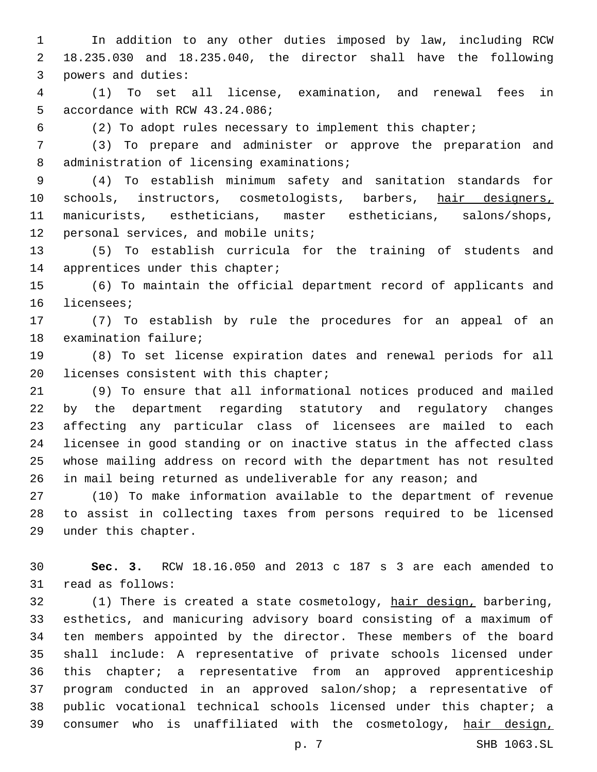In addition to any other duties imposed by law, including RCW 18.235.030 and 18.235.040, the director shall have the following 3 powers and duties:

 (1) To set all license, examination, and renewal fees in 5 accordance with RCW 43.24.086;

(2) To adopt rules necessary to implement this chapter;

 (3) To prepare and administer or approve the preparation and 8 administration of licensing examinations;

 (4) To establish minimum safety and sanitation standards for 10 schools, instructors, cosmetologists, barbers, hair designers, manicurists, estheticians, master estheticians, salons/shops, 12 personal services, and mobile units;

 (5) To establish curricula for the training of students and 14 apprentices under this chapter;

 (6) To maintain the official department record of applicants and 16 licensees;

 (7) To establish by rule the procedures for an appeal of an 18 examination failure;

 (8) To set license expiration dates and renewal periods for all 20 licenses consistent with this chapter;

 (9) To ensure that all informational notices produced and mailed by the department regarding statutory and regulatory changes affecting any particular class of licensees are mailed to each licensee in good standing or on inactive status in the affected class whose mailing address on record with the department has not resulted in mail being returned as undeliverable for any reason; and

 (10) To make information available to the department of revenue to assist in collecting taxes from persons required to be licensed 29 under this chapter.

 **Sec. 3.** RCW 18.16.050 and 2013 c 187 s 3 are each amended to 31 read as follows:

 (1) There is created a state cosmetology, hair design, barbering, esthetics, and manicuring advisory board consisting of a maximum of ten members appointed by the director. These members of the board shall include: A representative of private schools licensed under this chapter; a representative from an approved apprenticeship program conducted in an approved salon/shop; a representative of public vocational technical schools licensed under this chapter; a 39 consumer who is unaffiliated with the cosmetology, hair design,

p. 7 SHB 1063.SL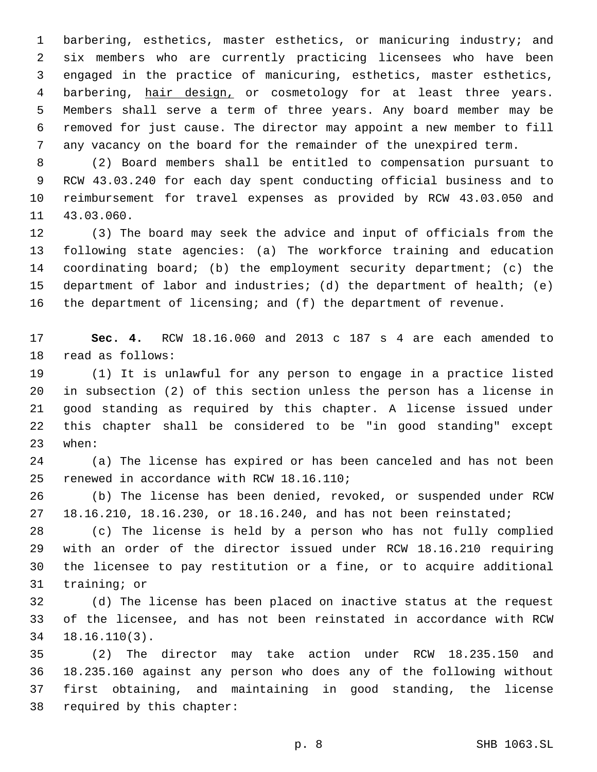barbering, esthetics, master esthetics, or manicuring industry; and six members who are currently practicing licensees who have been engaged in the practice of manicuring, esthetics, master esthetics, 4 barbering, hair design, or cosmetology for at least three years. Members shall serve a term of three years. Any board member may be removed for just cause. The director may appoint a new member to fill any vacancy on the board for the remainder of the unexpired term.

 (2) Board members shall be entitled to compensation pursuant to RCW 43.03.240 for each day spent conducting official business and to reimbursement for travel expenses as provided by RCW 43.03.050 and 11 43.03.060.

 (3) The board may seek the advice and input of officials from the following state agencies: (a) The workforce training and education coordinating board; (b) the employment security department; (c) the department of labor and industries; (d) the department of health; (e) 16 the department of licensing; and (f) the department of revenue.

 **Sec. 4.** RCW 18.16.060 and 2013 c 187 s 4 are each amended to 18 read as follows:

 (1) It is unlawful for any person to engage in a practice listed in subsection (2) of this section unless the person has a license in good standing as required by this chapter. A license issued under this chapter shall be considered to be "in good standing" except 23 when:

 (a) The license has expired or has been canceled and has not been 25 renewed in accordance with RCW 18.16.110;

 (b) The license has been denied, revoked, or suspended under RCW 18.16.210, 18.16.230, or 18.16.240, and has not been reinstated;

 (c) The license is held by a person who has not fully complied with an order of the director issued under RCW 18.16.210 requiring the licensee to pay restitution or a fine, or to acquire additional 31 training; or

 (d) The license has been placed on inactive status at the request of the licensee, and has not been reinstated in accordance with RCW  $18.16.110(3)$ .

 (2) The director may take action under RCW 18.235.150 and 18.235.160 against any person who does any of the following without first obtaining, and maintaining in good standing, the license 38 required by this chapter: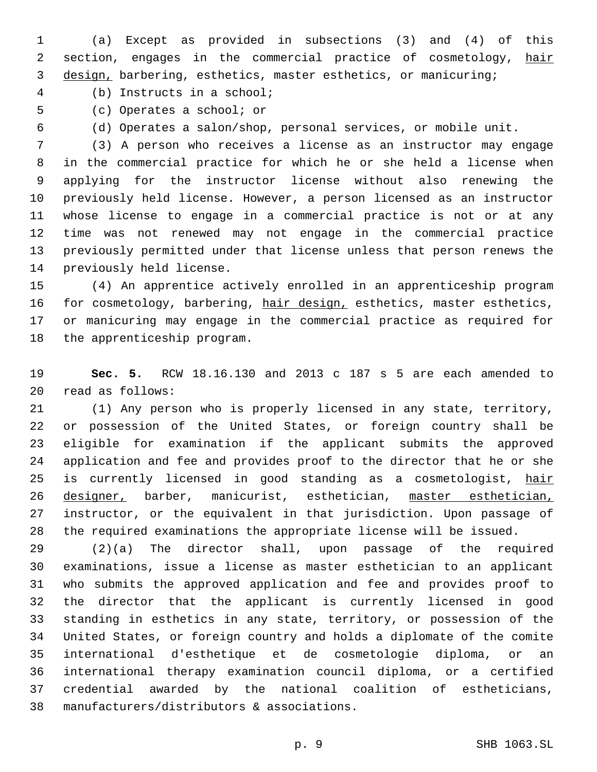(a) Except as provided in subsections (3) and (4) of this 2 section, engages in the commercial practice of cosmetology, hair design, barbering, esthetics, master esthetics, or manicuring;

(b) Instructs in a school;4

5 (c) Operates a school; or

(d) Operates a salon/shop, personal services, or mobile unit.

 (3) A person who receives a license as an instructor may engage in the commercial practice for which he or she held a license when applying for the instructor license without also renewing the previously held license. However, a person licensed as an instructor whose license to engage in a commercial practice is not or at any time was not renewed may not engage in the commercial practice previously permitted under that license unless that person renews the 14 previously held license.

 (4) An apprentice actively enrolled in an apprenticeship program 16 for cosmetology, barbering, hair design, esthetics, master esthetics, or manicuring may engage in the commercial practice as required for 18 the apprenticeship program.

 **Sec. 5.** RCW 18.16.130 and 2013 c 187 s 5 are each amended to read as follows:20

 (1) Any person who is properly licensed in any state, territory, or possession of the United States, or foreign country shall be eligible for examination if the applicant submits the approved application and fee and provides proof to the director that he or she 25 is currently licensed in good standing as a cosmetologist, hair 26 designer, barber, manicurist, esthetician, master esthetician, instructor, or the equivalent in that jurisdiction. Upon passage of the required examinations the appropriate license will be issued.

 (2)(a) The director shall, upon passage of the required examinations, issue a license as master esthetician to an applicant who submits the approved application and fee and provides proof to the director that the applicant is currently licensed in good standing in esthetics in any state, territory, or possession of the United States, or foreign country and holds a diplomate of the comite international d'esthetique et de cosmetologie diploma, or an international therapy examination council diploma, or a certified credential awarded by the national coalition of estheticians, 38 manufacturers/distributors & associations.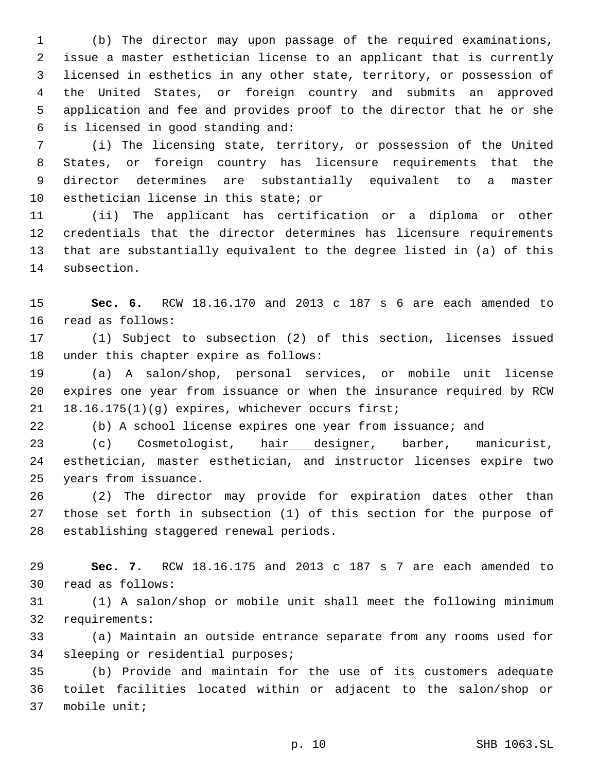(b) The director may upon passage of the required examinations, issue a master esthetician license to an applicant that is currently licensed in esthetics in any other state, territory, or possession of the United States, or foreign country and submits an approved application and fee and provides proof to the director that he or she is licensed in good standing and:6

 (i) The licensing state, territory, or possession of the United States, or foreign country has licensure requirements that the director determines are substantially equivalent to a master 10 esthetician license in this state; or

 (ii) The applicant has certification or a diploma or other credentials that the director determines has licensure requirements that are substantially equivalent to the degree listed in (a) of this 14 subsection.

 **Sec. 6.** RCW 18.16.170 and 2013 c 187 s 6 are each amended to 16 read as follows:

 (1) Subject to subsection (2) of this section, licenses issued 18 under this chapter expire as follows:

 (a) A salon/shop, personal services, or mobile unit license expires one year from issuance or when the insurance required by RCW  $18.16.175(1)(q)$  expires, whichever occurs first;

(b) A school license expires one year from issuance; and

 (c) Cosmetologist, hair designer, barber, manicurist, esthetician, master esthetician, and instructor licenses expire two 25 years from issuance.

 (2) The director may provide for expiration dates other than those set forth in subsection (1) of this section for the purpose of 28 establishing staggered renewal periods.

 **Sec. 7.** RCW 18.16.175 and 2013 c 187 s 7 are each amended to 30 read as follows:

 (1) A salon/shop or mobile unit shall meet the following minimum 32 requirements:

 (a) Maintain an outside entrance separate from any rooms used for 34 sleeping or residential purposes;

 (b) Provide and maintain for the use of its customers adequate toilet facilities located within or adjacent to the salon/shop or 37 mobile unit;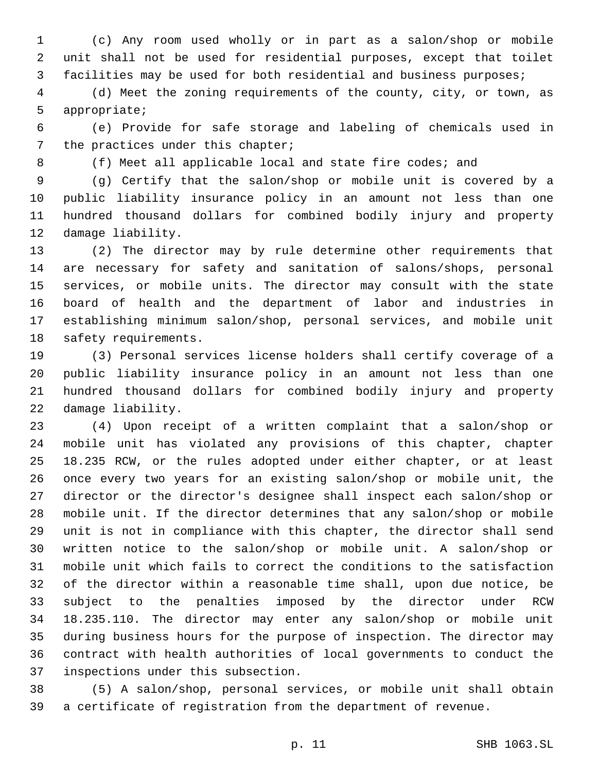(c) Any room used wholly or in part as a salon/shop or mobile unit shall not be used for residential purposes, except that toilet facilities may be used for both residential and business purposes;

 (d) Meet the zoning requirements of the county, city, or town, as 5 appropriate;

 (e) Provide for safe storage and labeling of chemicals used in 7 the practices under this chapter;

8 (f) Meet all applicable local and state fire codes; and

 (g) Certify that the salon/shop or mobile unit is covered by a public liability insurance policy in an amount not less than one hundred thousand dollars for combined bodily injury and property 12 damage liability.

 (2) The director may by rule determine other requirements that are necessary for safety and sanitation of salons/shops, personal services, or mobile units. The director may consult with the state board of health and the department of labor and industries in establishing minimum salon/shop, personal services, and mobile unit 18 safety requirements.

 (3) Personal services license holders shall certify coverage of a public liability insurance policy in an amount not less than one hundred thousand dollars for combined bodily injury and property 22 damage liability.

 (4) Upon receipt of a written complaint that a salon/shop or mobile unit has violated any provisions of this chapter, chapter 18.235 RCW, or the rules adopted under either chapter, or at least once every two years for an existing salon/shop or mobile unit, the director or the director's designee shall inspect each salon/shop or mobile unit. If the director determines that any salon/shop or mobile unit is not in compliance with this chapter, the director shall send written notice to the salon/shop or mobile unit. A salon/shop or mobile unit which fails to correct the conditions to the satisfaction of the director within a reasonable time shall, upon due notice, be subject to the penalties imposed by the director under RCW 18.235.110. The director may enter any salon/shop or mobile unit during business hours for the purpose of inspection. The director may contract with health authorities of local governments to conduct the 37 inspections under this subsection.

 (5) A salon/shop, personal services, or mobile unit shall obtain a certificate of registration from the department of revenue.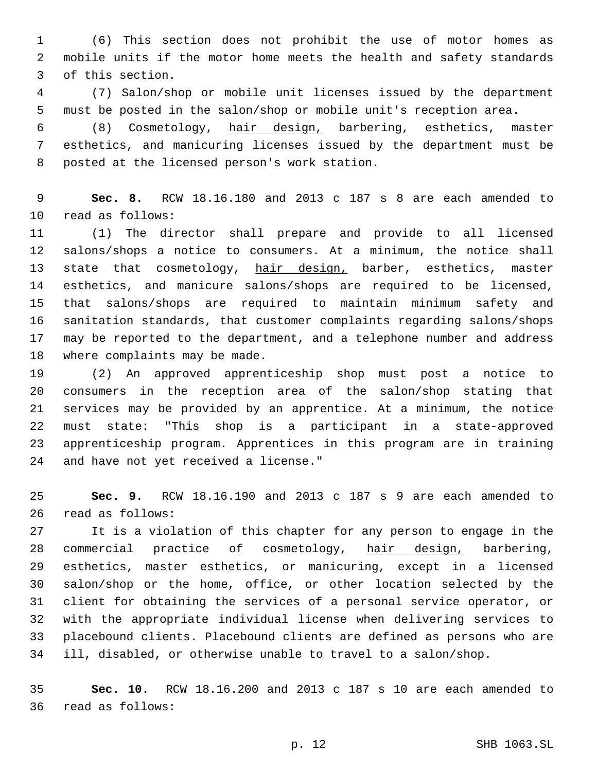(6) This section does not prohibit the use of motor homes as mobile units if the motor home meets the health and safety standards 3 of this section.

 (7) Salon/shop or mobile unit licenses issued by the department must be posted in the salon/shop or mobile unit's reception area.

 (8) Cosmetology, hair design, barbering, esthetics, master esthetics, and manicuring licenses issued by the department must be 8 posted at the licensed person's work station.

 **Sec. 8.** RCW 18.16.180 and 2013 c 187 s 8 are each amended to 10 read as follows:

 (1) The director shall prepare and provide to all licensed salons/shops a notice to consumers. At a minimum, the notice shall 13 state that cosmetology, hair design, barber, esthetics, master esthetics, and manicure salons/shops are required to be licensed, that salons/shops are required to maintain minimum safety and sanitation standards, that customer complaints regarding salons/shops may be reported to the department, and a telephone number and address 18 where complaints may be made.

 (2) An approved apprenticeship shop must post a notice to consumers in the reception area of the salon/shop stating that services may be provided by an apprentice. At a minimum, the notice must state: "This shop is a participant in a state-approved apprenticeship program. Apprentices in this program are in training 24 and have not yet received a license."

 **Sec. 9.** RCW 18.16.190 and 2013 c 187 s 9 are each amended to 26 read as follows:

 It is a violation of this chapter for any person to engage in the 28 commercial practice of cosmetology, hair design, barbering, esthetics, master esthetics, or manicuring, except in a licensed salon/shop or the home, office, or other location selected by the client for obtaining the services of a personal service operator, or with the appropriate individual license when delivering services to placebound clients. Placebound clients are defined as persons who are ill, disabled, or otherwise unable to travel to a salon/shop.

 **Sec. 10.** RCW 18.16.200 and 2013 c 187 s 10 are each amended to 36 read as follows: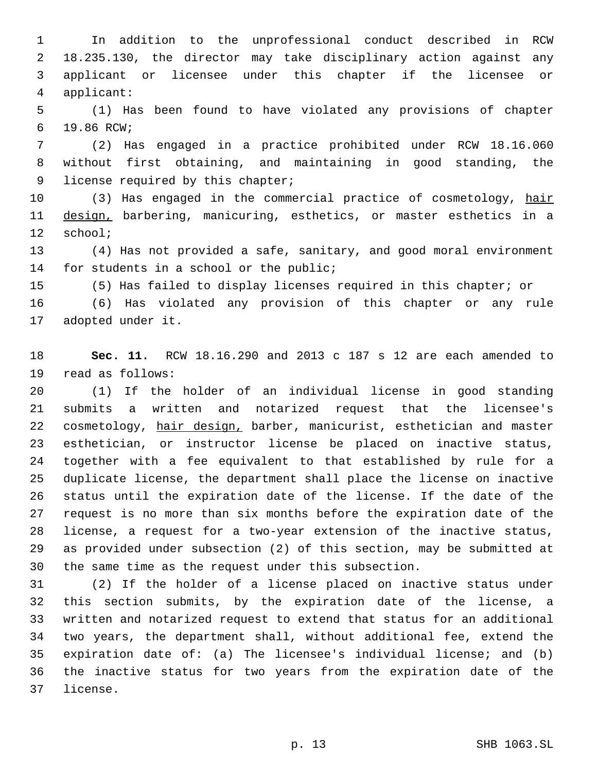In addition to the unprofessional conduct described in RCW 18.235.130, the director may take disciplinary action against any applicant or licensee under this chapter if the licensee or applicant:4

 (1) Has been found to have violated any provisions of chapter 19.86 RCW;6

 (2) Has engaged in a practice prohibited under RCW 18.16.060 without first obtaining, and maintaining in good standing, the 9 license required by this chapter;

10 (3) Has engaged in the commercial practice of cosmetology, hair 11 design, barbering, manicuring, esthetics, or master esthetics in a 12 school;

 (4) Has not provided a safe, sanitary, and good moral environment 14 for students in a school or the public;

(5) Has failed to display licenses required in this chapter; or

 (6) Has violated any provision of this chapter or any rule 17 adopted under it.

 **Sec. 11.** RCW 18.16.290 and 2013 c 187 s 12 are each amended to 19 read as follows:

 (1) If the holder of an individual license in good standing submits a written and notarized request that the licensee's 22 cosmetology, hair design, barber, manicurist, esthetician and master esthetician, or instructor license be placed on inactive status, together with a fee equivalent to that established by rule for a duplicate license, the department shall place the license on inactive status until the expiration date of the license. If the date of the request is no more than six months before the expiration date of the license, a request for a two-year extension of the inactive status, as provided under subsection (2) of this section, may be submitted at the same time as the request under this subsection.

 (2) If the holder of a license placed on inactive status under this section submits, by the expiration date of the license, a written and notarized request to extend that status for an additional two years, the department shall, without additional fee, extend the expiration date of: (a) The licensee's individual license; and (b) the inactive status for two years from the expiration date of the 37 license.